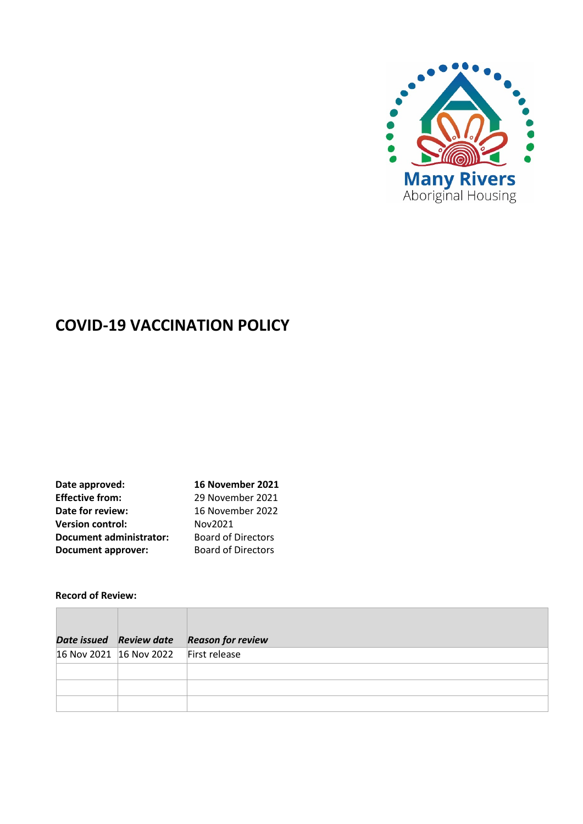

# **COVID-19 VACCINATION POLICY**

| Date approved:                 | 16 November 2021          |
|--------------------------------|---------------------------|
| <b>Effective from:</b>         | 29 November 2021          |
| Date for review:               | 16 November 2022          |
| <b>Version control:</b>        | Nov2021                   |
| <b>Document administrator:</b> | <b>Board of Directors</b> |
| <b>Document approver:</b>      | <b>Board of Directors</b> |

# **Record of Review:**

|                                       | Date issued Review date Reason for review |
|---------------------------------------|-------------------------------------------|
| 16 Nov 2021 16 Nov 2022 First release |                                           |
|                                       |                                           |
|                                       |                                           |
|                                       |                                           |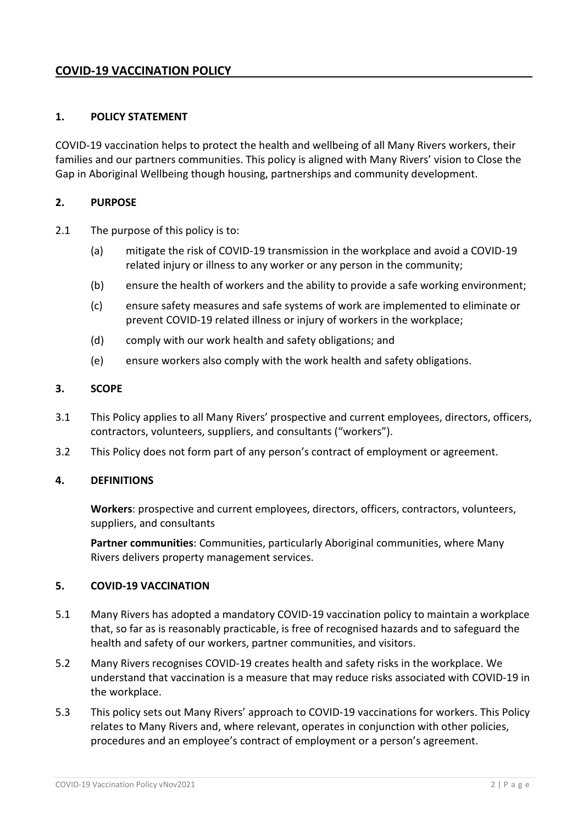# **COVID-19 VACCINATION POLICY**

## **1. POLICY STATEMENT**

COVID-19 vaccination helps to protect the health and wellbeing of all Many Rivers workers, their families and our partners communities. This policy is aligned with Many Rivers' vision to Close the Gap in Aboriginal Wellbeing though housing, partnerships and community development.

#### **2. PURPOSE**

- 2.1 The purpose of this policy is to:
	- (a) mitigate the risk of COVID-19 transmission in the workplace and avoid a COVID-19 related injury or illness to any worker or any person in the community;
	- (b) ensure the health of workers and the ability to provide a safe working environment;
	- (c) ensure safety measures and safe systems of work are implemented to eliminate or prevent COVID-19 related illness or injury of workers in the workplace;
	- (d) comply with our work health and safety obligations; and
	- (e) ensure workers also comply with the work health and safety obligations.

#### **3. SCOPE**

- 3.1 This Policy applies to all Many Rivers' prospective and current employees, directors, officers, contractors, volunteers, suppliers, and consultants ("workers").
- 3.2 This Policy does not form part of any person's contract of employment or agreement.

#### **4. DEFINITIONS**

**Workers**: prospective and current employees, directors, officers, contractors, volunteers, suppliers, and consultants

**Partner communities**: Communities, particularly Aboriginal communities, where Many Rivers delivers property management services.

#### **5. COVID-19 VACCINATION**

- 5.1 Many Rivers has adopted a mandatory COVID-19 vaccination policy to maintain a workplace that, so far as is reasonably practicable, is free of recognised hazards and to safeguard the health and safety of our workers, partner communities, and visitors.
- 5.2 Many Rivers recognises COVID-19 creates health and safety risks in the workplace. We understand that vaccination is a measure that may reduce risks associated with COVID-19 in the workplace.
- 5.3 This policy sets out Many Rivers' approach to COVID-19 vaccinations for workers. This Policy relates to Many Rivers and, where relevant, operates in conjunction with other policies, procedures and an employee's contract of employment or a person's agreement.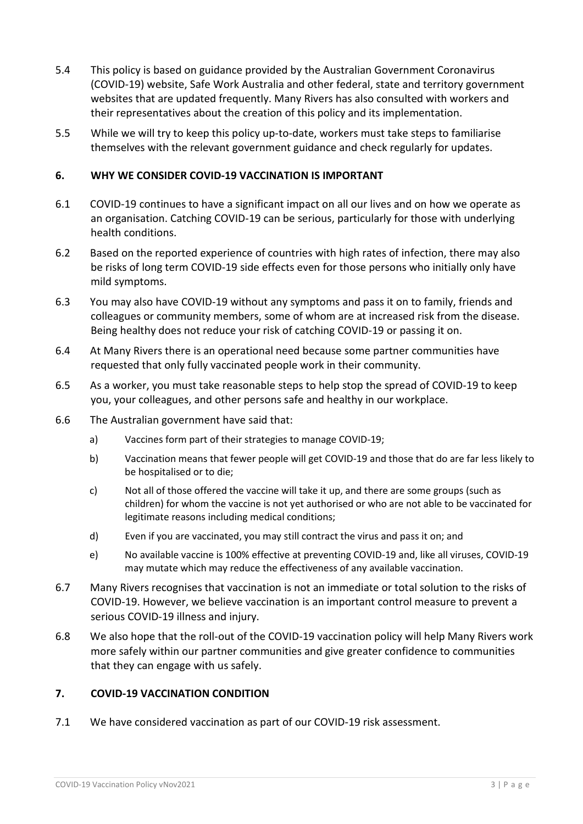- 5.4 This policy is based on guidance provided by the Australian Government Coronavirus (COVID-19) website, Safe Work Australia and other federal, state and territory government websites that are updated frequently. Many Rivers has also consulted with workers and their representatives about the creation of this policy and its implementation.
- 5.5 While we will try to keep this policy up-to-date, workers must take steps to familiarise themselves with the relevant government guidance and check regularly for updates.

#### **6. WHY WE CONSIDER COVID-19 VACCINATION IS IMPORTANT**

- 6.1 COVID-19 continues to have a significant impact on all our lives and on how we operate as an organisation. Catching COVID-19 can be serious, particularly for those with underlying health conditions.
- 6.2 Based on the reported experience of countries with high rates of infection, there may also be risks of long term COVID-19 side effects even for those persons who initially only have mild symptoms.
- 6.3 You may also have COVID-19 without any symptoms and pass it on to family, friends and colleagues or community members, some of whom are at increased risk from the disease. Being healthy does not reduce your risk of catching COVID-19 or passing it on.
- 6.4 At Many Rivers there is an operational need because some partner communities have requested that only fully vaccinated people work in their community.
- 6.5 As a worker, you must take reasonable steps to help stop the spread of COVID-19 to keep you, your colleagues, and other persons safe and healthy in our workplace.
- 6.6 The Australian government have said that:
	- a) Vaccines form part of their strategies to manage COVID-19;
	- b) Vaccination means that fewer people will get COVID-19 and those that do are far less likely to be hospitalised or to die;
	- c) Not all of those offered the vaccine will take it up, and there are some groups (such as children) for whom the vaccine is not yet authorised or who are not able to be vaccinated for legitimate reasons including medical conditions;
	- d) Even if you are vaccinated, you may still contract the virus and pass it on; and
	- e) No available vaccine is 100% effective at preventing COVID-19 and, like all viruses, COVID-19 may mutate which may reduce the effectiveness of any available vaccination.
- 6.7 Many Rivers recognises that vaccination is not an immediate or total solution to the risks of COVID-19. However, we believe vaccination is an important control measure to prevent a serious COVID-19 illness and injury.
- 6.8 We also hope that the roll-out of the COVID-19 vaccination policy will help Many Rivers work more safely within our partner communities and give greater confidence to communities that they can engage with us safely.

# **7. COVID-19 VACCINATION CONDITION**

7.1 We have considered vaccination as part of our COVID-19 risk assessment.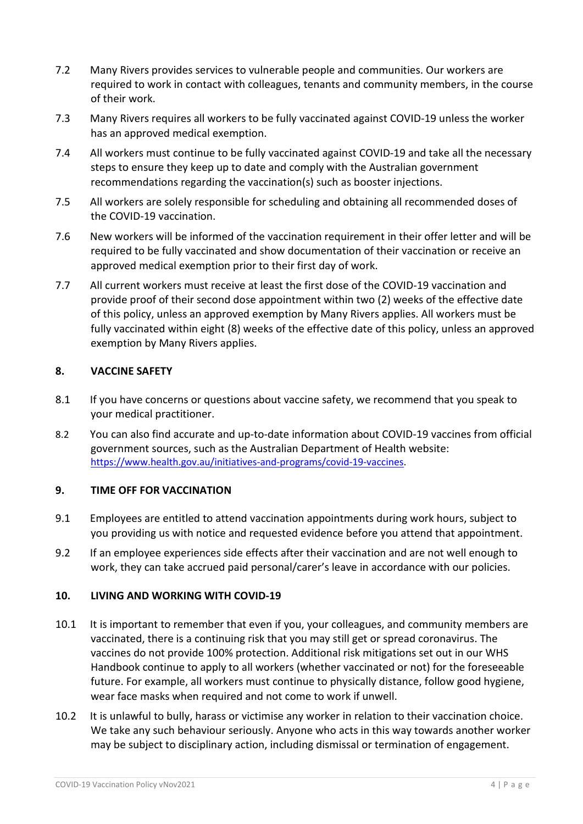- 7.2 Many Rivers provides services to vulnerable people and communities. Our workers are required to work in contact with colleagues, tenants and community members, in the course of their work.
- 7.3 Many Rivers requires all workers to be fully vaccinated against COVID-19 unless the worker has an approved medical exemption.
- 7.4 All workers must continue to be fully vaccinated against COVID-19 and take all the necessary steps to ensure they keep up to date and comply with the Australian government recommendations regarding the vaccination(s) such as booster injections.
- 7.5 All workers are solely responsible for scheduling and obtaining all recommended doses of the COVID-19 vaccination.
- 7.6 New workers will be informed of the vaccination requirement in their offer letter and will be required to be fully vaccinated and show documentation of their vaccination or receive an approved medical exemption prior to their first day of work.
- 7.7 All current workers must receive at least the first dose of the COVID-19 vaccination and provide proof of their second dose appointment within two (2) weeks of the effective date of this policy, unless an approved exemption by Many Rivers applies. All workers must be fully vaccinated within eight (8) weeks of the effective date of this policy, unless an approved exemption by Many Rivers applies.

# **8. VACCINE SAFETY**

- 8.1 If you have concerns or questions about vaccine safety, we recommend that you speak to your medical practitioner.
- 8.2 You can also find accurate and up-to-date information about COVID-19 vaccines from official government sources, such as the Australian Department of Health website: [https://www.health.gov.au/initiatives-and-programs/covid-19-vaccines.](https://www.health.gov.au/initiatives-and-programs/covid-19-vaccines)

# **9. TIME OFF FOR VACCINATION**

- 9.1 Employees are entitled to attend vaccination appointments during work hours, subject to you providing us with notice and requested evidence before you attend that appointment.
- 9.2 If an employee experiences side effects after their vaccination and are not well enough to work, they can take accrued paid personal/carer's leave in accordance with our policies.

#### **10. LIVING AND WORKING WITH COVID-19**

- 10.1 It is important to remember that even if you, your colleagues, and community members are vaccinated, there is a continuing risk that you may still get or spread coronavirus. The vaccines do not provide 100% protection. Additional risk mitigations set out in our WHS Handbook continue to apply to all workers (whether vaccinated or not) for the foreseeable future. For example, all workers must continue to physically distance, follow good hygiene, wear face masks when required and not come to work if unwell.
- 10.2 It is unlawful to bully, harass or victimise any worker in relation to their vaccination choice. We take any such behaviour seriously. Anyone who acts in this way towards another worker may be subject to disciplinary action, including dismissal or termination of engagement.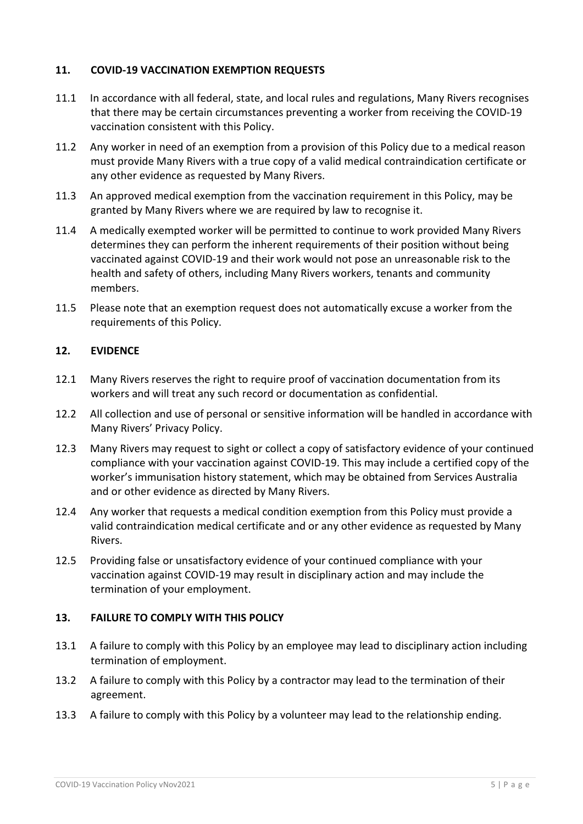# **11. COVID-19 VACCINATION EXEMPTION REQUESTS**

- 11.1 In accordance with all federal, state, and local rules and regulations, Many Rivers recognises that there may be certain circumstances preventing a worker from receiving the COVID-19 vaccination consistent with this Policy.
- 11.2 Any worker in need of an exemption from a provision of this Policy due to a medical reason must provide Many Rivers with a true copy of a valid medical contraindication certificate or any other evidence as requested by Many Rivers.
- 11.3 An approved medical exemption from the vaccination requirement in this Policy, may be granted by Many Rivers where we are required by law to recognise it.
- 11.4 A medically exempted worker will be permitted to continue to work provided Many Rivers determines they can perform the inherent requirements of their position without being vaccinated against COVID-19 and their work would not pose an unreasonable risk to the health and safety of others, including Many Rivers workers, tenants and community members.
- 11.5 Please note that an exemption request does not automatically excuse a worker from the requirements of this Policy.

# **12. EVIDENCE**

- 12.1 Many Rivers reserves the right to require proof of vaccination documentation from its workers and will treat any such record or documentation as confidential.
- 12.2 All collection and use of personal or sensitive information will be handled in accordance with Many Rivers' Privacy Policy.
- 12.3 Many Rivers may request to sight or collect a copy of satisfactory evidence of your continued compliance with your vaccination against COVID-19. This may include a certified copy of the worker's immunisation history statement, which may be obtained from Services Australia and or other evidence as directed by Many Rivers.
- 12.4 Any worker that requests a medical condition exemption from this Policy must provide a valid contraindication medical certificate and or any other evidence as requested by Many Rivers.
- 12.5 Providing false or unsatisfactory evidence of your continued compliance with your vaccination against COVID-19 may result in disciplinary action and may include the termination of your employment.

## **13. FAILURE TO COMPLY WITH THIS POLICY**

- 13.1 A failure to comply with this Policy by an employee may lead to disciplinary action including termination of employment.
- 13.2 A failure to comply with this Policy by a contractor may lead to the termination of their agreement.
- 13.3 A failure to comply with this Policy by a volunteer may lead to the relationship ending.